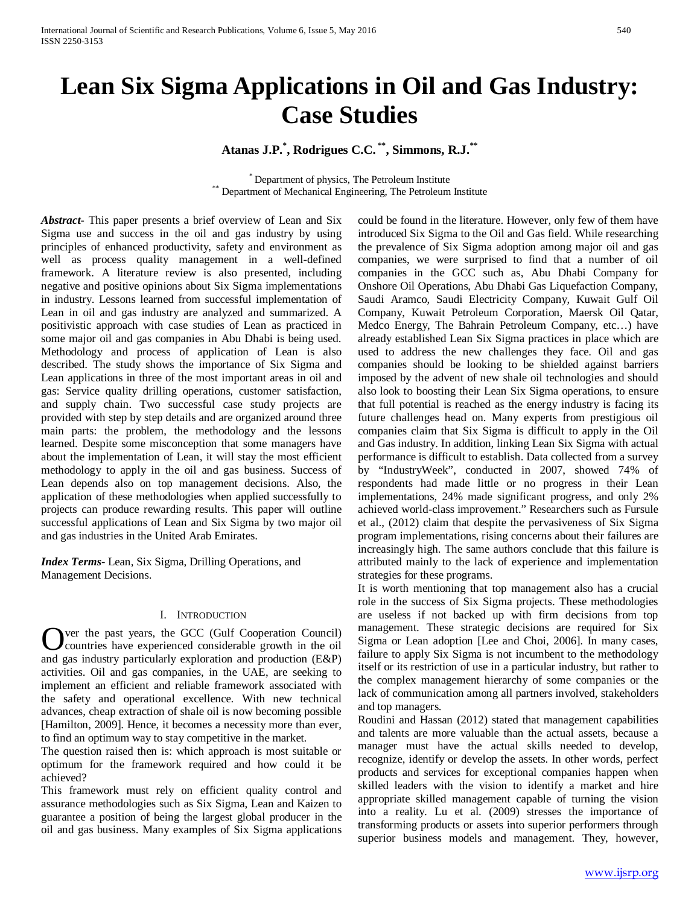# **Lean Six Sigma Applications in Oil and Gas Industry: Case Studies**

**Atanas J.P. \* , Rodrigues C.C. \*\*, Simmons, R.J.\*\***

\* Department of physics, The Petroleum Institute \*\*<br>Pepartment of Mechanical Engineering, The Petroleum Institute

*Abstract***-** This paper presents a brief overview of Lean and Six Sigma use and success in the oil and gas industry by using principles of enhanced productivity, safety and environment as well as process quality management in a well-defined framework. A literature review is also presented, including negative and positive opinions about Six Sigma implementations in industry. Lessons learned from successful implementation of Lean in oil and gas industry are analyzed and summarized. A positivistic approach with case studies of Lean as practiced in some major oil and gas companies in Abu Dhabi is being used. Methodology and process of application of Lean is also described. The study shows the importance of Six Sigma and Lean applications in three of the most important areas in oil and gas: Service quality drilling operations, customer satisfaction, and supply chain. Two successful case study projects are provided with step by step details and are organized around three main parts: the problem, the methodology and the lessons learned. Despite some misconception that some managers have about the implementation of Lean, it will stay the most efficient methodology to apply in the oil and gas business. Success of Lean depends also on top management decisions. Also, the application of these methodologies when applied successfully to projects can produce rewarding results. This paper will outline successful applications of Lean and Six Sigma by two major oil and gas industries in the United Arab Emirates.

*Index Terms*- Lean, Six Sigma, Drilling Operations, and Management Decisions.

#### I. INTRODUCTION

ver the past years, the GCC (Gulf Cooperation Council) countries have experienced considerable growth in the oil **C** ver the past years, the GCC (Gulf Cooperation Council) countries have experienced considerable growth in the oil and gas industry particularly exploration and production (E&P) activities. Oil and gas companies, in the UAE, are seeking to implement an efficient and reliable framework associated with the safety and operational excellence. With new technical advances, cheap extraction of shale oil is now becoming possible [Hamilton, 2009]. Hence, it becomes a necessity more than ever, to find an optimum way to stay competitive in the market.

The question raised then is: which approach is most suitable or optimum for the framework required and how could it be achieved?

This framework must rely on efficient quality control and assurance methodologies such as Six Sigma, Lean and Kaizen to guarantee a position of being the largest global producer in the oil and gas business. Many examples of Six Sigma applications could be found in the literature. However, only few of them have introduced Six Sigma to the Oil and Gas field. While researching the prevalence of Six Sigma adoption among major oil and gas companies, we were surprised to find that a number of oil companies in the GCC such as, Abu Dhabi Company for Onshore Oil Operations, Abu Dhabi Gas Liquefaction Company, Saudi Aramco, Saudi Electricity Company, Kuwait Gulf Oil Company, Kuwait Petroleum Corporation, Maersk Oil Qatar, Medco Energy, The Bahrain Petroleum Company, etc…) have already established Lean Six Sigma practices in place which are used to address the new challenges they face. Oil and gas companies should be looking to be shielded against barriers imposed by the advent of new shale oil technologies and should also look to boosting their Lean Six Sigma operations, to ensure that full potential is reached as the energy industry is facing its future challenges head on. Many experts from prestigious oil companies claim that Six Sigma is difficult to apply in the Oil and Gas industry. In addition, linking Lean Six Sigma with actual performance is difficult to establish. Data collected from a survey by "IndustryWeek", conducted in 2007, showed 74% of respondents had made little or no progress in their Lean implementations, 24% made significant progress, and only 2% achieved world-class improvement." Researchers such as Fursule et al., (2012) claim that despite the pervasiveness of Six Sigma program implementations, rising concerns about their failures are increasingly high. The same authors conclude that this failure is attributed mainly to the lack of experience and implementation strategies for these programs.

It is worth mentioning that top management also has a crucial role in the success of Six Sigma projects. These methodologies are useless if not backed up with firm decisions from top management. These strategic decisions are required for Six Sigma or Lean adoption [Lee and Choi, 2006]. In many cases, failure to apply Six Sigma is not incumbent to the methodology itself or its restriction of use in a particular industry, but rather to the complex management hierarchy of some companies or the lack of communication among all partners involved, stakeholders and top managers.

Roudini and Hassan (2012) stated that management capabilities and talents are more valuable than the actual assets, because a manager must have the actual skills needed to develop, recognize, identify or develop the assets. In other words, perfect products and services for exceptional companies happen when skilled leaders with the vision to identify a market and hire appropriate skilled management capable of turning the vision into a reality. Lu et al. (2009) stresses the importance of transforming products or assets into superior performers through superior business models and management. They, however,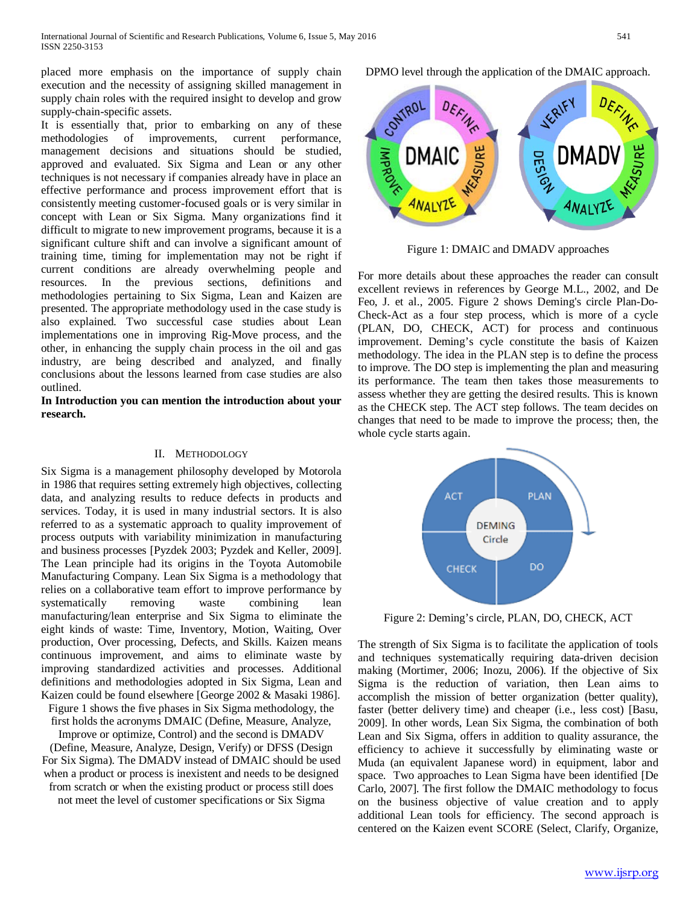placed more emphasis on the importance of supply chain execution and the necessity of assigning skilled management in supply chain roles with the required insight to develop and grow supply-chain-specific assets.

It is essentially that, prior to embarking on any of these methodologies of improvements, current performance, management decisions and situations should be studied, approved and evaluated. Six Sigma and Lean or any other techniques is not necessary if companies already have in place an effective performance and process improvement effort that is consistently meeting customer-focused goals or is very similar in concept with Lean or Six Sigma. Many organizations find it difficult to migrate to new improvement programs, because it is a significant culture shift and can involve a significant amount of training time, timing for implementation may not be right if current conditions are already overwhelming people and resources. In the previous sections, definitions and methodologies pertaining to Six Sigma, Lean and Kaizen are presented. The appropriate methodology used in the case study is also explained. Two successful case studies about Lean implementations one in improving Rig-Move process, and the other, in enhancing the supply chain process in the oil and gas industry, are being described and analyzed, and finally conclusions about the lessons learned from case studies are also outlined.

**In Introduction you can mention the introduction about your research.** 

#### II. METHODOLOGY

Six Sigma is a management philosophy developed by Motorola in 1986 that requires setting extremely high objectives, collecting data, and analyzing results to reduce defects in products and services. Today, it is used in many industrial sectors. It is also referred to as a systematic approach to quality improvement of process outputs with variability minimization in manufacturing and business processes [Pyzdek 2003; Pyzdek and Keller, 2009]. The Lean principle had its origins in the Toyota Automobile Manufacturing Company. Lean Six Sigma is a methodology that relies on a collaborative team effort to improve performance by systematically removing waste combining lean manufacturing/lean enterprise and Six Sigma to eliminate the eight kinds of waste: Time, Inventory, Motion, Waiting, Over production, Over processing, Defects, and Skills. Kaizen means continuous improvement, and aims to eliminate waste by improving standardized activities and processes. Additional definitions and methodologies adopted in Six Sigma, Lean and Kaizen could be found elsewhere [George 2002 & Masaki 1986].

Figure 1 shows the five phases in Six Sigma methodology, the first holds the acronyms DMAIC (Define, Measure, Analyze,

Improve or optimize, Control) and the second is DMADV (Define, Measure, Analyze, Design, Verify) or DFSS (Design For Six Sigma). The DMADV instead of DMAIC should be used when a product or process is inexistent and needs to be designed from scratch or when the existing product or process still does

not meet the level of customer specifications or Six Sigma

DPMO level through the application of the DMAIC approach.

CONTROI DEFIN **IMPROV** DMAIC

Figure 1: DMAIC and DMADV approaches

For more details about these approaches the reader can consult excellent reviews in references by George M.L., 2002, and De Feo, J. et al., 2005. Figure 2 shows Deming's circle Plan-Do-Check-Act as a four step process, which is more of a cycle (PLAN, DO, CHECK, ACT) for process and continuous improvement. Deming's cycle constitute the basis of Kaizen methodology. The idea in the PLAN step is to define the process to improve. The DO step is implementing the plan and measuring its performance. The team then takes those measurements to assess whether they are getting the desired results. This is known as the CHECK step. The ACT step follows. The team decides on changes that need to be made to improve the process; then, the whole cycle starts again.



Figure 2: Deming's circle, PLAN, DO, CHECK, ACT

The strength of Six Sigma is to facilitate the application of tools and techniques systematically requiring data-driven decision making (Mortimer, 2006; Inozu, 2006). If the objective of Six Sigma is the reduction of variation, then Lean aims to accomplish the mission of better organization (better quality), faster (better delivery time) and cheaper (i.e., less cost) [Basu, 2009]. In other words, Lean Six Sigma, the combination of both Lean and Six Sigma, offers in addition to quality assurance, the efficiency to achieve it successfully by eliminating waste or Muda (an equivalent Japanese word) in equipment, labor and space. Two approaches to Lean Sigma have been identified [De Carlo, 2007]. The first follow the DMAIC methodology to focus on the business objective of value creation and to apply additional Lean tools for efficiency. The second approach is centered on the Kaizen event SCORE (Select, Clarify, Organize,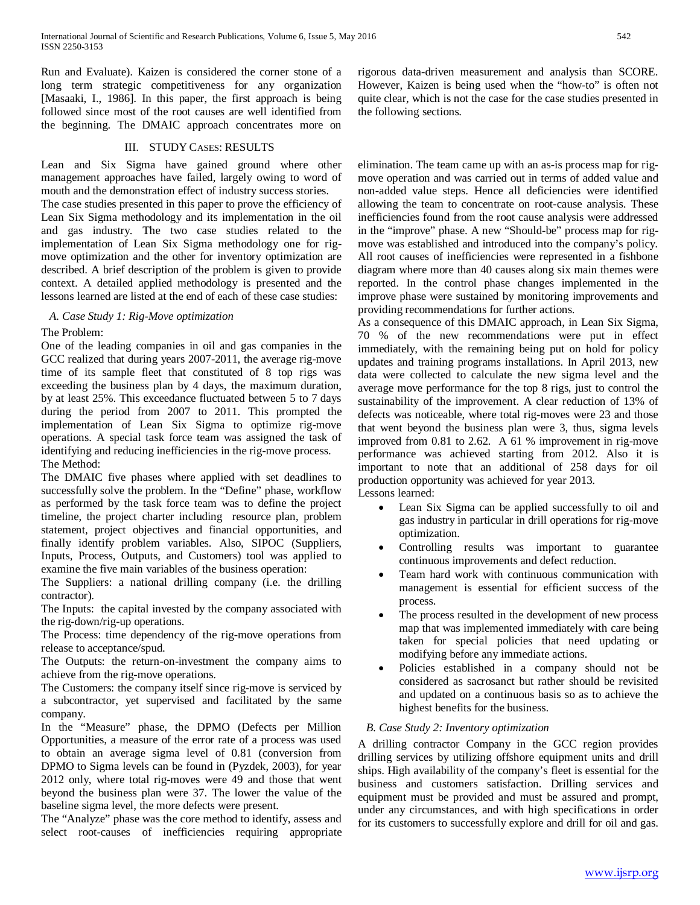Run and Evaluate). Kaizen is considered the corner stone of a long term strategic competitiveness for any organization [Masaaki, I., 1986]. In this paper, the first approach is being followed since most of the root causes are well identified from the beginning. The DMAIC approach concentrates more on

### III. STUDY CASES: RESULTS

Lean and Six Sigma have gained ground where other management approaches have failed, largely owing to word of mouth and the demonstration effect of industry success stories.

The case studies presented in this paper to prove the efficiency of Lean Six Sigma methodology and its implementation in the oil and gas industry. The two case studies related to the implementation of Lean Six Sigma methodology one for rigmove optimization and the other for inventory optimization are described. A brief description of the problem is given to provide context. A detailed applied methodology is presented and the lessons learned are listed at the end of each of these case studies:

#### *A. Case Study 1: Rig-Move optimization*

#### The Problem:

One of the leading companies in oil and gas companies in the GCC realized that during years 2007-2011, the average rig-move time of its sample fleet that constituted of 8 top rigs was exceeding the business plan by 4 days, the maximum duration, by at least 25%. This exceedance fluctuated between 5 to 7 days during the period from 2007 to 2011. This prompted the implementation of Lean Six Sigma to optimize rig-move operations. A special task force team was assigned the task of identifying and reducing inefficiencies in the rig-move process. The Method:

The DMAIC five phases where applied with set deadlines to successfully solve the problem. In the "Define" phase, workflow as performed by the task force team was to define the project timeline, the project charter including resource plan, problem statement, project objectives and financial opportunities, and finally identify problem variables. Also, SIPOC (Suppliers, Inputs, Process, Outputs, and Customers) tool was applied to examine the five main variables of the business operation:

The Suppliers: a national drilling company (i.e. the drilling contractor).

The Inputs: the capital invested by the company associated with the rig-down/rig-up operations.

The Process: time dependency of the rig-move operations from release to acceptance/spud.

The Outputs: the return-on-investment the company aims to achieve from the rig-move operations.

The Customers: the company itself since rig-move is serviced by a subcontractor, yet supervised and facilitated by the same company.

In the "Measure" phase, the DPMO (Defects per Million Opportunities, a measure of the error rate of a process was used to obtain an average sigma level of 0.81 (conversion from DPMO to Sigma levels can be found in (Pyzdek, 2003), for year 2012 only, where total rig-moves were 49 and those that went beyond the business plan were 37. The lower the value of the baseline sigma level, the more defects were present.

The "Analyze" phase was the core method to identify, assess and select root-causes of inefficiencies requiring appropriate rigorous data-driven measurement and analysis than SCORE. However, Kaizen is being used when the "how-to" is often not quite clear, which is not the case for the case studies presented in the following sections.

elimination. The team came up with an as-is process map for rigmove operation and was carried out in terms of added value and non-added value steps. Hence all deficiencies were identified allowing the team to concentrate on root-cause analysis. These inefficiencies found from the root cause analysis were addressed in the "improve" phase. A new "Should-be" process map for rigmove was established and introduced into the company's policy. All root causes of inefficiencies were represented in a fishbone diagram where more than 40 causes along six main themes were reported. In the control phase changes implemented in the improve phase were sustained by monitoring improvements and providing recommendations for further actions.

As a consequence of this DMAIC approach, in Lean Six Sigma, 70 % of the new recommendations were put in effect immediately, with the remaining being put on hold for policy updates and training programs installations. In April 2013, new data were collected to calculate the new sigma level and the average move performance for the top 8 rigs, just to control the sustainability of the improvement. A clear reduction of 13% of defects was noticeable, where total rig-moves were 23 and those that went beyond the business plan were 3, thus, sigma levels improved from 0.81 to 2.62. A 61 % improvement in rig-move performance was achieved starting from 2012. Also it is important to note that an additional of 258 days for oil production opportunity was achieved for year 2013.

Lessons learned:

- Lean Six Sigma can be applied successfully to oil and gas industry in particular in drill operations for rig-move optimization.
- Controlling results was important to guarantee continuous improvements and defect reduction.
- Team hard work with continuous communication with management is essential for efficient success of the process.
- The process resulted in the development of new process map that was implemented immediately with care being taken for special policies that need updating or modifying before any immediate actions.
- Policies established in a company should not be considered as sacrosanct but rather should be revisited and updated on a continuous basis so as to achieve the highest benefits for the business.

### *B. Case Study 2: Inventory optimization*

A drilling contractor Company in the GCC region provides drilling services by utilizing offshore equipment units and drill ships. High availability of the company's fleet is essential for the business and customers satisfaction. Drilling services and equipment must be provided and must be assured and prompt, under any circumstances, and with high specifications in order for its customers to successfully explore and drill for oil and gas.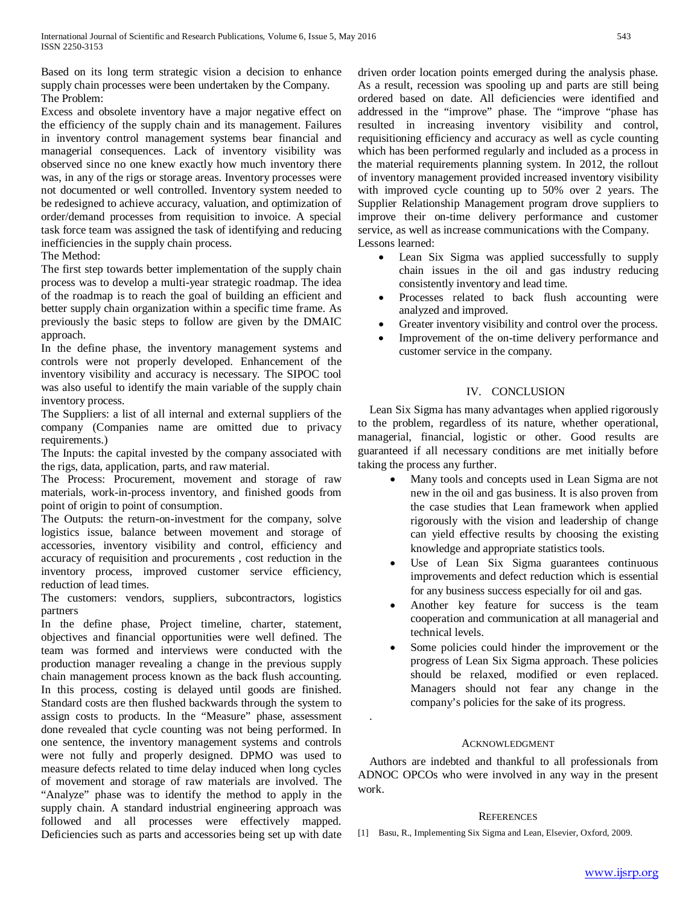Based on its long term strategic vision a decision to enhance supply chain processes were been undertaken by the Company. The Problem:

Excess and obsolete inventory have a major negative effect on the efficiency of the supply chain and its management. Failures in inventory control management systems bear financial and managerial consequences. Lack of inventory visibility was observed since no one knew exactly how much inventory there was, in any of the rigs or storage areas. Inventory processes were not documented or well controlled. Inventory system needed to be redesigned to achieve accuracy, valuation, and optimization of order/demand processes from requisition to invoice. A special task force team was assigned the task of identifying and reducing inefficiencies in the supply chain process.

The Method:

The first step towards better implementation of the supply chain process was to develop a multi-year strategic roadmap. The idea of the roadmap is to reach the goal of building an efficient and better supply chain organization within a specific time frame. As previously the basic steps to follow are given by the DMAIC approach.

In the define phase, the inventory management systems and controls were not properly developed. Enhancement of the inventory visibility and accuracy is necessary. The SIPOC tool was also useful to identify the main variable of the supply chain inventory process.

The Suppliers: a list of all internal and external suppliers of the company (Companies name are omitted due to privacy requirements.)

The Inputs: the capital invested by the company associated with the rigs, data, application, parts, and raw material.

The Process: Procurement, movement and storage of raw materials, work-in-process inventory, and finished goods from point of origin to point of consumption.

The Outputs: the return-on-investment for the company, solve logistics issue, balance between movement and storage of accessories, inventory visibility and control, efficiency and accuracy of requisition and procurements , cost reduction in the inventory process, improved customer service efficiency, reduction of lead times.

The customers: vendors, suppliers, subcontractors, logistics partners

In the define phase, Project timeline, charter, statement, objectives and financial opportunities were well defined. The team was formed and interviews were conducted with the production manager revealing a change in the previous supply chain management process known as the back flush accounting. In this process, costing is delayed until goods are finished. Standard costs are then flushed backwards through the system to assign costs to products. In the "Measure" phase, assessment done revealed that cycle counting was not being performed. In one sentence, the inventory management systems and controls were not fully and properly designed. DPMO was used to measure defects related to time delay induced when long cycles of movement and storage of raw materials are involved. The "Analyze" phase was to identify the method to apply in the supply chain. A standard industrial engineering approach was followed and all processes were effectively mapped. Deficiencies such as parts and accessories being set up with date

driven order location points emerged during the analysis phase. As a result, recession was spooling up and parts are still being ordered based on date. All deficiencies were identified and addressed in the "improve" phase. The "improve "phase has resulted in increasing inventory visibility and control, requisitioning efficiency and accuracy as well as cycle counting which has been performed regularly and included as a process in the material requirements planning system. In 2012, the rollout of inventory management provided increased inventory visibility with improved cycle counting up to 50% over 2 years. The Supplier Relationship Management program drove suppliers to improve their on-time delivery performance and customer service, as well as increase communications with the Company. Lessons learned:

- Lean Six Sigma was applied successfully to supply chain issues in the oil and gas industry reducing consistently inventory and lead time.
- Processes related to back flush accounting were analyzed and improved.
- Greater inventory visibility and control over the process.
- Improvement of the on-time delivery performance and customer service in the company.

## IV. CONCLUSION

Lean Six Sigma has many advantages when applied rigorously to the problem, regardless of its nature, whether operational, managerial, financial, logistic or other. Good results are guaranteed if all necessary conditions are met initially before taking the process any further.

- Many tools and concepts used in Lean Sigma are not new in the oil and gas business. It is also proven from the case studies that Lean framework when applied rigorously with the vision and leadership of change can yield effective results by choosing the existing knowledge and appropriate statistics tools.
- Use of Lean Six Sigma guarantees continuous improvements and defect reduction which is essential for any business success especially for oil and gas.
- Another key feature for success is the team cooperation and communication at all managerial and technical levels.
- Some policies could hinder the improvement or the progress of Lean Six Sigma approach. These policies should be relaxed, modified or even replaced. Managers should not fear any change in the company's policies for the sake of its progress.

### ACKNOWLEDGMENT

.

Authors are indebted and thankful to all professionals from ADNOC OPCOs who were involved in any way in the present work.

### **REFERENCES**

[1] Basu, R., Implementing Six Sigma and Lean, Elsevier, Oxford, 2009.